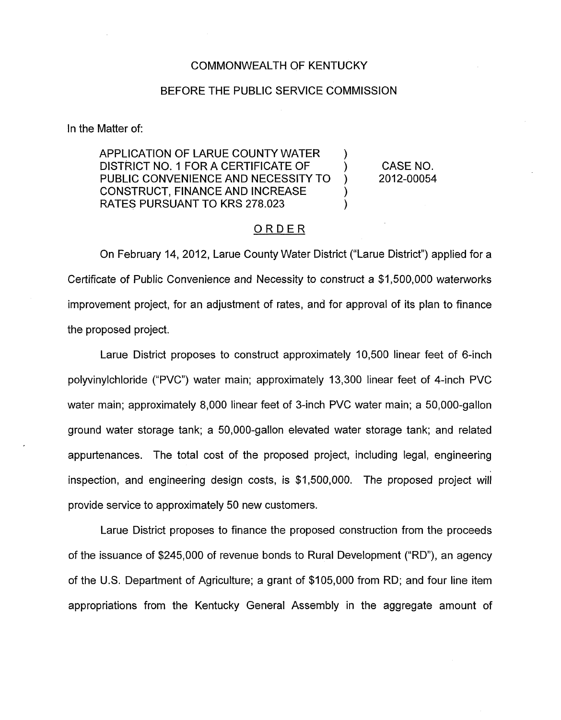#### COMMONWEALTH OF KENTUCKY

### BEFORE THE PUBLIC SERVICE COMMISSION

In the Matter of:

APPLICATION OF LARUE COUNTY WATER DISTRICT NO. 1 FOR A CERTIFICATE OF PUBLIC CONVENIENCE AND NECESSITY TO CONSTRUCT, FINANCE AND INCREASE RATES PURSUANT TO KRS 278.023 )  $\sum_{i=1}^{n}$ 

CASE NO. 2012-00054

)

## ORDER

On February 14, 2012, Larue County Water District ("Larue District") applied for a Certificate of Public Convenience and Necessity to construct a \$1,500,000 waterworks improvement project, for an adjustment of rates, and for approval of its plan to finance the proposed project.

Larue District proposes to construct approximately 10,500 linear feet of 6-inch polyvinylchloride ("PVC") water main; approximately 13,300 linear feet of 4-inch PVC water main; approximately 8,000 linear feet of 3-inch PVC water main; a 50,000-gallon ground water storage tank; a 50,000-gallon elevated water storage tank; and related appurtenances. The total cost of the proposed project, including legal, engineering inspection, and engineering design costs, is \$1,500,000. The proposed project will provide service to approximately 50 new customers.

Larue District proposes to finance the proposed construction from the proceeds of the issuance of \$245,000 of revenue bonds to Rural Development ("RD"), an agency of the U.S. Department of Agriculture; a grant of \$105,000 from RD; and four line item appropriations from the Kentucky General Assembly in the aggregate amount of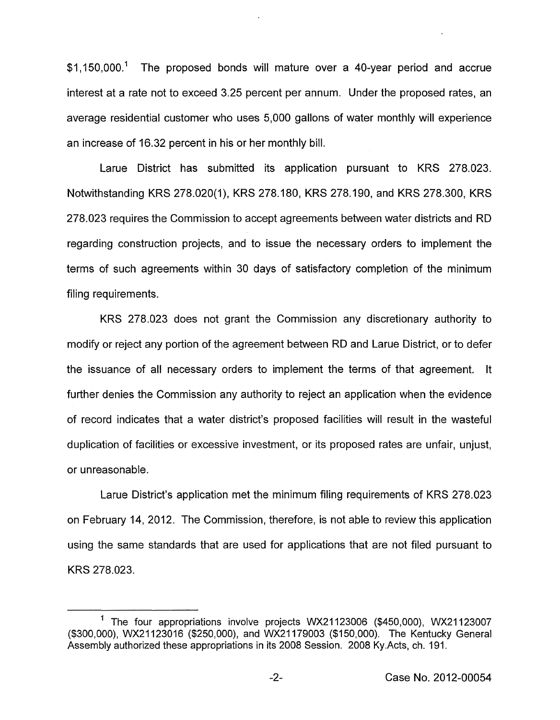$$1,150,000<sup>1</sup>$  The proposed bonds will mature over a 40-year period and accrue interest at a rate not to exceed 3.25 percent per annum. Under the proposed rates, an average residential customer who uses 5,000 gallons of water monthly will experience an increase of 16.32 percent in his or her monthly bill.

Larue District has submitted its application pursuant to KRS 278.023. Notwithstanding KRS 278.020(1), KRS 278.180, KRS 278.190, and KRS 278.300, KRS 278.023 requires the Commission to accept agreements between water districts and RD regarding construction projects, and to issue the necessary orders to implement the terms of such agreements within 30 days of satisfactory completion of the minimum filing requirements.

KRS 278.023 does not grant the Commission any discretionary authority to modify or reject any portion of the agreement between RD and Larue District, or to defer the issuance of all necessary orders to implement the terms of that agreement. It further denies the Commission any authority to reject an application when the evidence of record indicates that a water district's proposed facilities will result in the wasteful duplication of facilities or excessive investment, or its proposed rates are unfair, unjust, or unreasonable.

Larue District's application met the minimum filing requirements of KRS 278.023 on February 14, 2012. The Commission, therefore, is not able to review this application using the same standards that are used for applications that are not filed pursuant to KRS 278.023.

<sup>&</sup>lt;sup>1</sup> The four appropriations involve projects WX21123006 (\$450,000), WX21123007 (\$300,000), WX21123016 (\$250,000), and WX21179003 (\$1 50,000). The Kentucky General Assembly authorized these appropriations in its 2008 Session. 2008 Ky.Acts, ch. 191.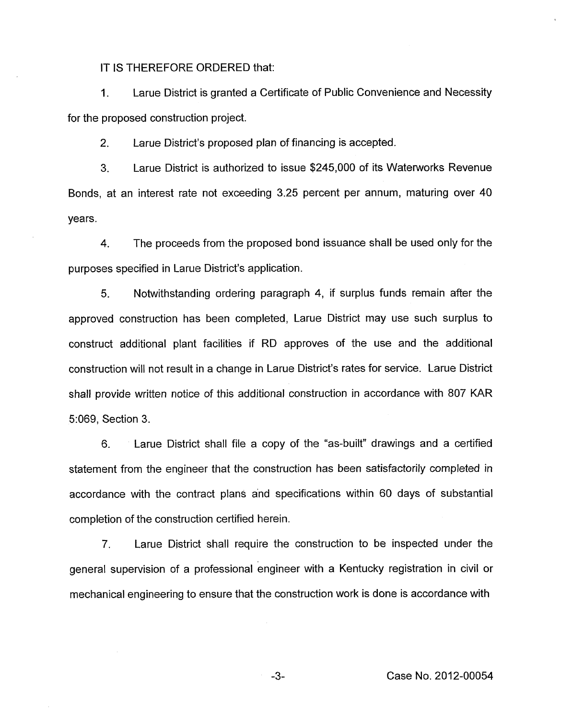IT IS THEREFORE ORDERED that:

I. Larue District is granted a Certificate of Public Convenience and Necessity for the proposed construction project.

2. Larue District's proposed plan of financing is accepted.

3. Larue District is authorized to issue \$245,000 of its Waterworks Revenue Bonds, at an interest rate not exceeding 3.25 percent per annum, maturing over 40 years.

4. The proceeds from the proposed bond issuance shall be used only for the purposes specified in Larue District's application.

5. Notwithstanding ordering paragraph 4, if surplus funds remain after the approved construction has been completed, Larue District may use such surplus to construct additional plant facilities if RD approves of the use and the additional construction will not result in a change in Larue District's rates for service. Larue District shall provide written notice of this additional construction in accordance with 807 KAR 5:069, Section 3.

6. Larue District shall file a copy of the "as-built" drawings and a certified statement from the engineer that the construction has been satisfactorily completed in accordance with the contract plans and specifications within 60 days of substantial completion of the construction certified herein.

*7.* Larue District shall require the construction to be inspected under the general supervision of a professional engineer with a Kentucky registration in civil or mechanical engineering to ensure that the construction work is done is accordance with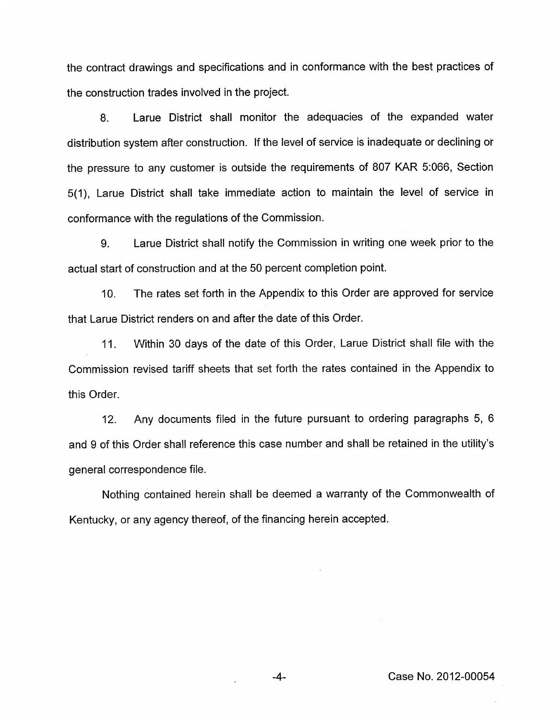the contract drawings and specifications and in conformance with the best practices of the construction trades involved in the project.

8. Larue District shall monitor the adequacies of the expanded water distribution system after construction. If the level of service is inadequate or declining or the pressure to any customer is outside the requirements of 807 KAR 5:066, Section 5(1), Larue District shall take immediate action to maintain the level of service in conformance with the regulations of the Commission.

9. Larue District shall notify the Commission in writing one week prior to the actual start of construction and at the 50 percent completion point.

IO. The rates set forth in the Appendix to this Order are approved for service that Larue District renders on and after the date of this Order.

11. Within 30 days of the date of this Order, Larue District shall file with the Commission revised tariff sheets that set forth the rates contained in the Appendix to this Order.

12. Any documents filed in the future pursuant to ordering paragraphs 5, 6 and 9 of this Order shall reference this case number and shall be retained in the utility's general correspondence file.

Nothing contained herein shall be deemed a warranty of the Commonwealth of Kentucky, or any agency thereof, of the financing herein accepted.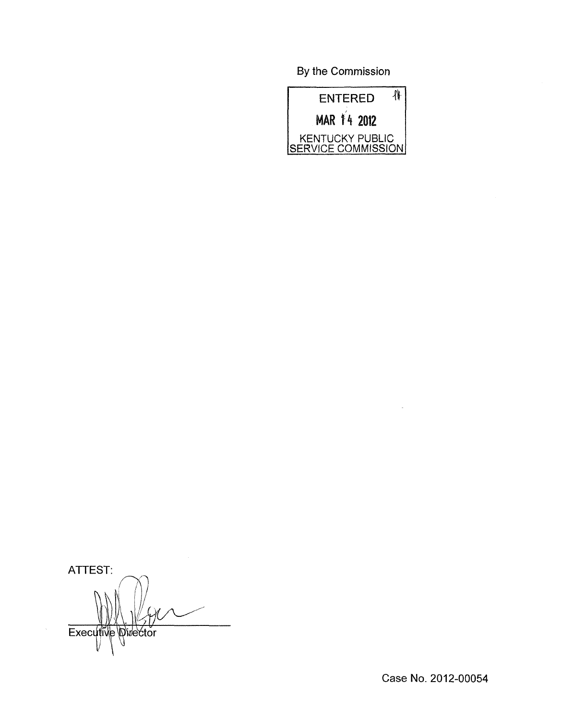By the Commission



ATTEST: Executive Director

Case No. 2012-00054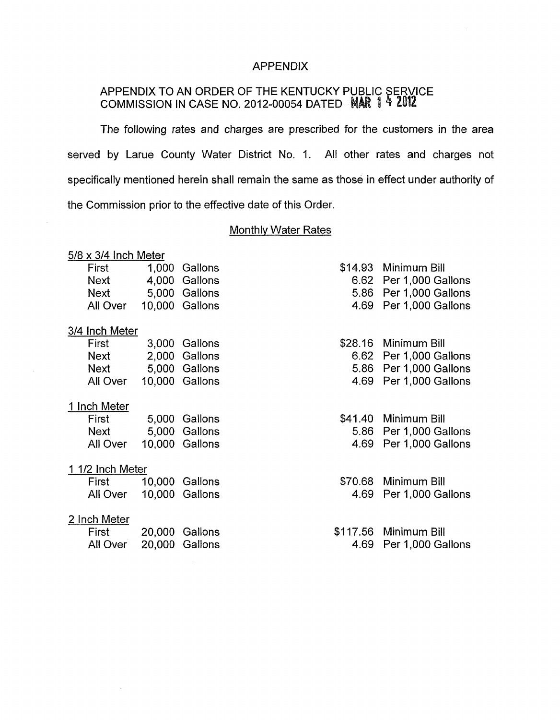### APPENDIX

## APPENDIX TO AN ORDER OF THE KENTUCKY P COMMISSION IN CASE NO. 2012-00054 DATED

The following rates and charges are prescribed for the customers in the area served by Larue County Water District No. I. All other rates and charges not specifically mentioned herein shall remain the same as those in effect under authority of the Commission prior to the effective date of this Order

# Monthly Water Rates

| $5/8 \times 3/4$ Inch Meter |          |        |                |          |                        |
|-----------------------------|----------|--------|----------------|----------|------------------------|
|                             | First    | 1,000  | Gallons        | \$14.93  | Minimum Bill           |
|                             | Next     |        | 4,000 Gallons  |          | 6.62 Per 1,000 Gallons |
|                             | Next     |        | 5,000 Gallons  | 5.86     | Per 1,000 Gallons      |
|                             | All Over |        | 10,000 Gallons | 4.69     | Per 1,000 Gallons      |
| 3/4 Inch Meter              |          |        |                |          |                        |
|                             | First    | 3,000  | Gallons        | \$28.16  | Minimum Bill           |
|                             | Next     |        | 2,000 Gallons  | 6.62     | Per 1,000 Gallons      |
|                             | Next     |        | 5,000 Gallons  | 5.86     | Per 1,000 Gallons      |
|                             | All Over |        | 10,000 Gallons | 4.69     | Per 1,000 Gallons      |
| 1 Inch Meter                |          |        |                |          |                        |
|                             | First    | 5,000  | Gallons        | \$41.40  | Minimum Bill           |
|                             | Next     |        | 5,000 Gallons  | 5.86     | Per 1,000 Gallons      |
|                             | All Over |        | 10,000 Gallons | 4.69     | Per 1,000 Gallons      |
| 1 1/2 Inch Meter            |          |        |                |          |                        |
|                             | First    |        | 10,000 Gallons | \$70.68  | Minimum Bill           |
|                             | All Over |        | 10,000 Gallons | 4.69     | Per 1,000 Gallons      |
| 2 Inch Meter                |          |        |                |          |                        |
|                             | First    | 20,000 | Gallons        | \$117.56 | Minimum Bill           |
|                             | All Over |        | 20,000 Gallons | 4.69     | Per 1,000 Gallons      |